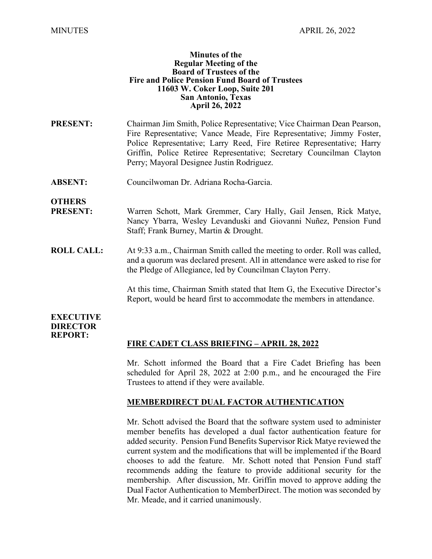#### **Minutes of the Regular Meeting of the Board of Trustees of the Fire and Police Pension Fund Board of Trustees 11603 W. Coker Loop, Suite 201 San Antonio, Texas April 26, 2022**

- **PRESENT:** Chairman Jim Smith, Police Representative; Vice Chairman Dean Pearson, Fire Representative; Vance Meade, Fire Representative; Jimmy Foster, Police Representative; Larry Reed, Fire Retiree Representative; Harry Griffin, Police Retiree Representative; Secretary Councilman Clayton Perry; Mayoral Designee Justin Rodriguez.
- **ABSENT:** Councilwoman Dr. Adriana Rocha-Garcia.

**OTHERS**

- **PRESENT:** Warren Schott, Mark Gremmer, Cary Hally, Gail Jensen, Rick Matye, Nancy Ybarra, Wesley Levanduski and Giovanni Nuñez, Pension Fund Staff; Frank Burney, Martin & Drought.
- **ROLL CALL:** At 9:33 a.m., Chairman Smith called the meeting to order. Roll was called, and a quorum was declared present. All in attendance were asked to rise for the Pledge of Allegiance, led by Councilman Clayton Perry.

At this time, Chairman Smith stated that Item G, the Executive Director's Report, would be heard first to accommodate the members in attendance.

### **EXECUTIVE DIRECTOR REPORT:**

# **FIRE CADET CLASS BRIEFING – APRIL 28, 2022**

Mr. Schott informed the Board that a Fire Cadet Briefing has been scheduled for April 28, 2022 at 2:00 p.m., and he encouraged the Fire Trustees to attend if they were available.

## **MEMBERDIRECT DUAL FACTOR AUTHENTICATION**

Mr. Schott advised the Board that the software system used to administer member benefits has developed a dual factor authentication feature for added security. Pension Fund Benefits Supervisor Rick Matye reviewed the current system and the modifications that will be implemented if the Board chooses to add the feature. Mr. Schott noted that Pension Fund staff recommends adding the feature to provide additional security for the membership. After discussion, Mr. Griffin moved to approve adding the Dual Factor Authentication to MemberDirect. The motion was seconded by Mr. Meade, and it carried unanimously.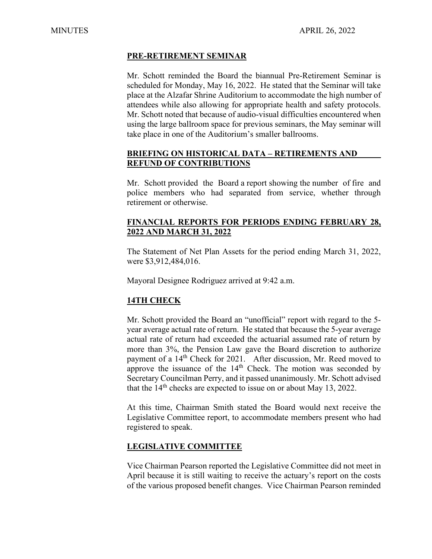## **PRE-RETIREMENT SEMINAR**

Mr. Schott reminded the Board the biannual Pre-Retirement Seminar is scheduled for Monday, May 16, 2022. He stated that the Seminar will take place at the Alzafar Shrine Auditorium to accommodate the high number of attendees while also allowing for appropriate health and safety protocols. Mr. Schott noted that because of audio-visual difficulties encountered when using the large ballroom space for previous seminars, the May seminar will take place in one of the Auditorium's smaller ballrooms.

## **BRIEFING ON HISTORICAL DATA – RETIREMENTS AND REFUND OF CONTRIBUTIONS**

Mr. Schott provided the Board a report showing the number of fire and police members who had separated from service, whether through retirement or otherwise.

## **FINANCIAL REPORTS FOR PERIODS ENDING FEBRUARY 28, 2022 AND MARCH 31, 2022**

The Statement of Net Plan Assets for the period ending March 31, 2022, were \$3,912,484,016.

Mayoral Designee Rodriguez arrived at 9:42 a.m.

# **14TH CHECK**

Mr. Schott provided the Board an "unofficial" report with regard to the 5 year average actual rate of return. He stated that because the 5-year average actual rate of return had exceeded the actuarial assumed rate of return by more than 3%, the Pension Law gave the Board discretion to authorize payment of a 14<sup>th</sup> Check for 2021. After discussion, Mr. Reed moved to approve the issuance of the  $14<sup>th</sup>$  Check. The motion was seconded by Secretary Councilman Perry, and it passed unanimously. Mr. Schott advised that the  $14<sup>th</sup>$  checks are expected to issue on or about May 13, 2022.

At this time, Chairman Smith stated the Board would next receive the Legislative Committee report, to accommodate members present who had registered to speak.

## **LEGISLATIVE COMMITTEE**

Vice Chairman Pearson reported the Legislative Committee did not meet in April because it is still waiting to receive the actuary's report on the costs of the various proposed benefit changes. Vice Chairman Pearson reminded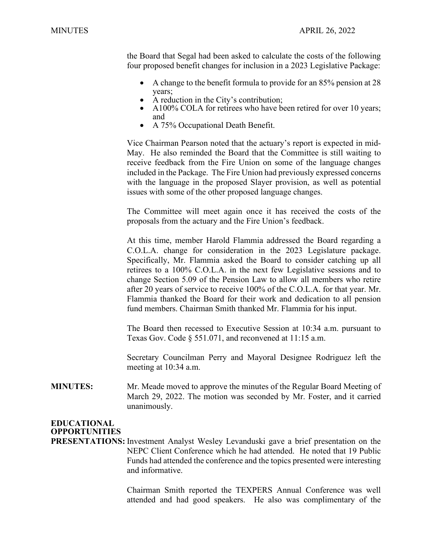the Board that Segal had been asked to calculate the costs of the following four proposed benefit changes for inclusion in a 2023 Legislative Package:

- A change to the benefit formula to provide for an 85% pension at 28
- 
- years;<br>
A reduction in the City's contribution;<br>
A100% COLA for retirees who have been retired for over 10 years;
- and<br>• A 75% Occupational Death Benefit.

Vice Chairman Pearson noted that the actuary's report is expected in mid-May. He also reminded the Board that the Committee is still waiting to receive feedback from the Fire Union on some of the language changes included in the Package. The Fire Union had previously expressed concerns with the language in the proposed Slayer provision, as well as potential issues with some of the other proposed language changes.

The Committee will meet again once it has received the costs of the proposals from the actuary and the Fire Union's feedback.

At this time, member Harold Flammia addressed the Board regarding a C.O.L.A. change for consideration in the 2023 Legislature package. Specifically, Mr. Flammia asked the Board to consider catching up all retirees to a 100% C.O.L.A. in the next few Legislative sessions and to change Section 5.09 of the Pension Law to allow all members who retire after 20 years of service to receive 100% of the C.O.L.A. for that year. Mr. Flammia thanked the Board for their work and dedication to all pension fund members. Chairman Smith thanked Mr. Flammia for his input.

The Board then recessed to Executive Session at 10:34 a.m. pursuant to Texas Gov. Code § 551.071, and reconvened at 11:15 a.m.

Secretary Councilman Perry and Mayoral Designee Rodriguez left the meeting at 10:34 a.m.

**MINUTES:** Mr. Meade moved to approve the minutes of the Regular Board Meeting of March 29, 2022. The motion was seconded by Mr. Foster, and it carried unanimously.

# **EDUCATIONAL OPPORTUNITIES**

**PRESENTATIONS:** Investment Analyst Wesley Levanduski gave a brief presentation on the NEPC Client Conference which he had attended. He noted that 19 Public Funds had attended the conference and the topics presented were interesting and informative.

> Chairman Smith reported the TEXPERS Annual Conference was well attended and had good speakers. He also was complimentary of the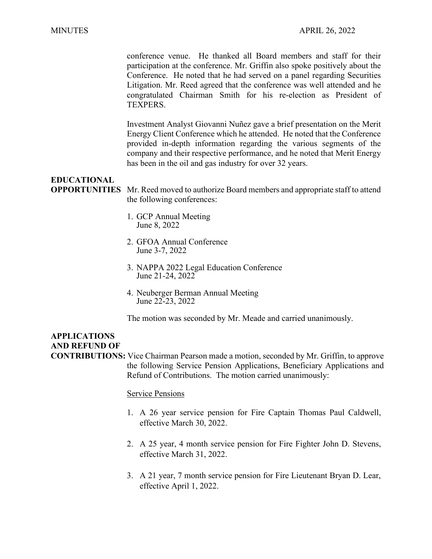conference venue. He thanked all Board members and staff for their participation at the conference. Mr. Griffin also spoke positively about the Conference. He noted that he had served on a panel regarding Securities Litigation. Mr. Reed agreed that the conference was well attended and he congratulated Chairman Smith for his re-election as President of TEXPERS.

Investment Analyst Giovanni Nuñez gave a brief presentation on the Merit Energy Client Conference which he attended. He noted that the Conference provided in-depth information regarding the various segments of the company and their respective performance, and he noted that Merit Energy has been in the oil and gas industry for over 32 years.

### **EDUCATIONAL**

**OPPORTUNITIES** Mr. Reed moved to authorize Board members and appropriate staff to attend the following conferences:

- 1. GCP Annual Meeting June 8, 2022
- 2. GFOA Annual Conference June 3-7, 2022
- 3. NAPPA 2022 Legal Education Conference June 21-24, 2022
- 4. Neuberger Berman Annual Meeting June 22-23, 2022

The motion was seconded by Mr. Meade and carried unanimously.

# **APPLICATIONS AND REFUND OF**

**CONTRIBUTIONS:** Vice Chairman Pearson made a motion, seconded by Mr. Griffin, to approve the following Service Pension Applications, Beneficiary Applications and Refund of Contributions. The motion carried unanimously:

#### Service Pensions

- 1. A 26 year service pension for Fire Captain Thomas Paul Caldwell, effective March 30, 2022.
- 2. A 25 year, 4 month service pension for Fire Fighter John D. Stevens, effective March 31, 2022.
- 3. A 21 year, 7 month service pension for Fire Lieutenant Bryan D. Lear, effective April 1, 2022.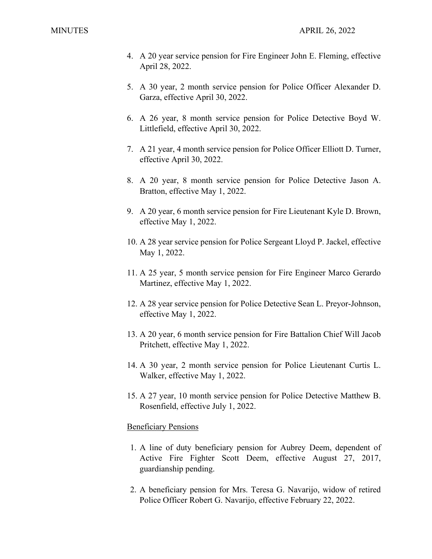- 4. A 20 year service pension for Fire Engineer John E. Fleming, effective April 28, 2022.
- 5. A 30 year, 2 month service pension for Police Officer Alexander D. Garza, effective April 30, 2022.
- 6. A 26 year, 8 month service pension for Police Detective Boyd W. Littlefield, effective April 30, 2022.
- 7. A 21 year, 4 month service pension for Police Officer Elliott D. Turner, effective April 30, 2022.
- 8. A 20 year, 8 month service pension for Police Detective Jason A. Bratton, effective May 1, 2022.
- 9. A 20 year, 6 month service pension for Fire Lieutenant Kyle D. Brown, effective May 1, 2022.
- 10. A 28 year service pension for Police Sergeant Lloyd P. Jackel, effective May 1, 2022.
- 11. A 25 year, 5 month service pension for Fire Engineer Marco Gerardo Martinez, effective May 1, 2022.
- 12. A 28 year service pension for Police Detective Sean L. Preyor-Johnson, effective May 1, 2022.
- 13. A 20 year, 6 month service pension for Fire Battalion Chief Will Jacob Pritchett, effective May 1, 2022.
- 14. A 30 year, 2 month service pension for Police Lieutenant Curtis L. Walker, effective May 1, 2022.
- 15. A 27 year, 10 month service pension for Police Detective Matthew B. Rosenfield, effective July 1, 2022.

## Beneficiary Pensions

- 1. A line of duty beneficiary pension for Aubrey Deem, dependent of Active Fire Fighter Scott Deem, effective August 27, 2017, guardianship pending.
- 2. A beneficiary pension for Mrs. Teresa G. Navarijo, widow of retired Police Officer Robert G. Navarijo, effective February 22, 2022.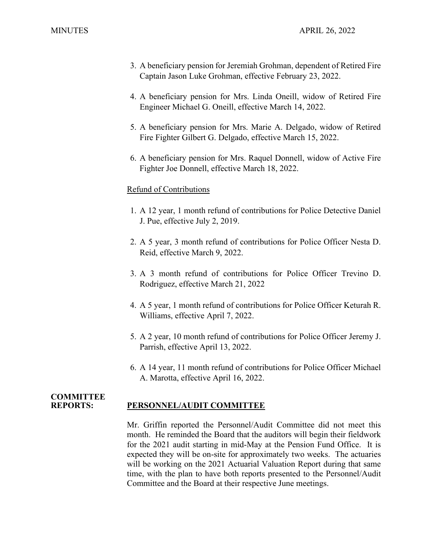- 3. A beneficiary pension for Jeremiah Grohman, dependent of Retired Fire Captain Jason Luke Grohman, effective February 23, 2022.
- 4. A beneficiary pension for Mrs. Linda Oneill, widow of Retired Fire Engineer Michael G. Oneill, effective March 14, 2022.
- 5. A beneficiary pension for Mrs. Marie A. Delgado, widow of Retired Fire Fighter Gilbert G. Delgado, effective March 15, 2022.
- 6. A beneficiary pension for Mrs. Raquel Donnell, widow of Active Fire Fighter Joe Donnell, effective March 18, 2022.

#### Refund of Contributions

- 1. A 12 year, 1 month refund of contributions for Police Detective Daniel J. Pue, effective July 2, 2019.
- 2. A 5 year, 3 month refund of contributions for Police Officer Nesta D. Reid, effective March 9, 2022.
- 3. A 3 month refund of contributions for Police Officer Trevino D. Rodriguez, effective March 21, 2022
- 4. A 5 year, 1 month refund of contributions for Police Officer Keturah R. Williams, effective April 7, 2022.
- 5. A 2 year, 10 month refund of contributions for Police Officer Jeremy J. Parrish, effective April 13, 2022.
- 6. A 14 year, 11 month refund of contributions for Police Officer Michael A. Marotta, effective April 16, 2022.

#### **COMMITTEE PERSONNEL/AUDIT COMMITTEE**

Mr. Griffin reported the Personnel/Audit Committee did not meet this month. He reminded the Board that the auditors will begin their fieldwork for the 2021 audit starting in mid-May at the Pension Fund Office. It is expected they will be on-site for approximately two weeks. The actuaries will be working on the 2021 Actuarial Valuation Report during that same time, with the plan to have both reports presented to the Personnel/Audit Committee and the Board at their respective June meetings.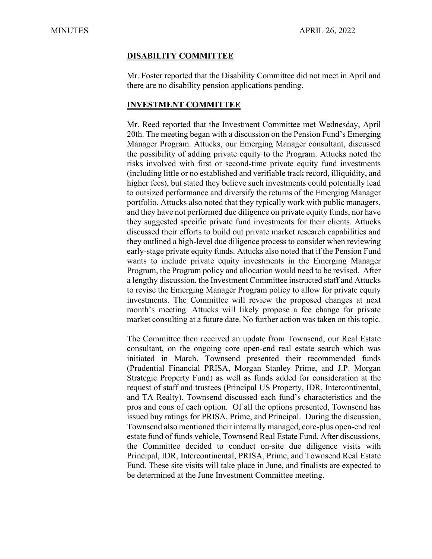#### **DISABILITY COMMITTEE**

Mr. Foster reported that the Disability Committee did not meet in April and there are no disability pension applications pending.

### **INVESTMENT COMMITTEE**

Mr. Reed reported that the Investment Committee met Wednesday, April 20th. The meeting began with a discussion on the Pension Fund's Emerging Manager Program. Attucks, our Emerging Manager consultant, discussed the possibility of adding private equity to the Program. Attucks noted the risks involved with first or second-time private equity fund investments (including little or no established and verifiable track record, illiquidity, and higher fees), but stated they believe such investments could potentially lead to outsized performance and diversify the returns of the Emerging Manager portfolio. Attucks also noted that they typically work with public managers, and they have not performed due diligence on private equity funds, nor have they suggested specific private fund investments for their clients. Attucks discussed their efforts to build out private market research capabilities and they outlined a high-level due diligence process to consider when reviewing early-stage private equity funds. Attucks also noted that if the Pension Fund wants to include private equity investments in the Emerging Manager Program, the Program policy and allocation would need to be revised. After a lengthy discussion, the Investment Committee instructed staff and Attucks to revise the Emerging Manager Program policy to allow for private equity investments. The Committee will review the proposed changes at next month's meeting. Attucks will likely propose a fee change for private market consulting at a future date. No further action was taken on this topic.

The Committee then received an update from Townsend, our Real Estate consultant, on the ongoing core open-end real estate search which was initiated in March. Townsend presented their recommended funds (Prudential Financial PRISA, Morgan Stanley Prime, and J.P. Morgan Strategic Property Fund) as well as funds added for consideration at the request of staff and trustees (Principal US Property, IDR, Intercontinental, and TA Realty). Townsend discussed each fund's characteristics and the pros and cons of each option. Of all the options presented, Townsend has issued buy ratings for PRISA, Prime, and Principal. During the discussion, Townsend also mentioned their internally managed, core-plus open-end real estate fund of funds vehicle, Townsend Real Estate Fund. After discussions, the Committee decided to conduct on-site due diligence visits with Principal, IDR, Intercontinental, PRISA, Prime, and Townsend Real Estate Fund. These site visits will take place in June, and finalists are expected to be determined at the June Investment Committee meeting.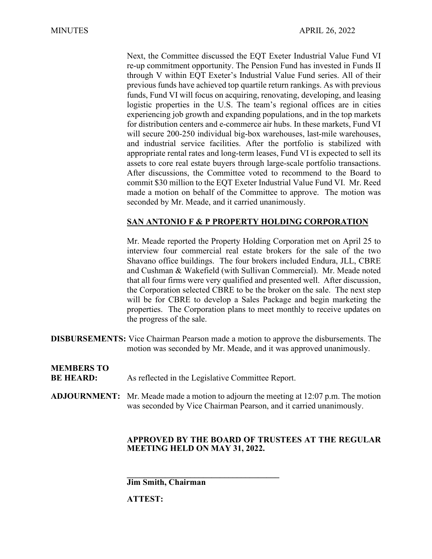Next, the Committee discussed the EQT Exeter Industrial Value Fund VI re-up commitment opportunity. The Pension Fund has invested in Funds II through V within EQT Exeter's Industrial Value Fund series. All of their previous funds have achieved top quartile return rankings. As with previous funds, Fund VI will focus on acquiring, renovating, developing, and leasing logistic properties in the U.S. The team's regional offices are in cities experiencing job growth and expanding populations, and in the top markets for distribution centers and e-commerce air hubs. In these markets, Fund VI will secure 200-250 individual big-box warehouses, last-mile warehouses, and industrial service facilities. After the portfolio is stabilized with appropriate rental rates and long-term leases, Fund VI is expected to sell its assets to core real estate buyers through large-scale portfolio transactions. After discussions, the Committee voted to recommend to the Board to commit \$30 million to the EQT Exeter Industrial Value Fund VI. Mr. Reed made a motion on behalf of the Committee to approve. The motion was seconded by Mr. Meade, and it carried unanimously.

# **SAN ANTONIO F & P PROPERTY HOLDING CORPORATION**

Mr. Meade reported the Property Holding Corporation met on April 25 to interview four commercial real estate brokers for the sale of the two Shavano office buildings. The four brokers included Endura, JLL, CBRE and Cushman & Wakefield (with Sullivan Commercial). Mr. Meade noted that all four firms were very qualified and presented well. After discussion, the Corporation selected CBRE to be the broker on the sale. The next step will be for CBRE to develop a Sales Package and begin marketing the properties. The Corporation plans to meet monthly to receive updates on the progress of the sale.

**DISBURSEMENTS:** Vice Chairman Pearson made a motion to approve the disbursements. The motion was seconded by Mr. Meade, and it was approved unanimously.

| <b>MEMBERS TO</b><br><b>BE HEARD:</b> | As reflected in the Legislative Committee Report.                                                                                                                   |
|---------------------------------------|---------------------------------------------------------------------------------------------------------------------------------------------------------------------|
|                                       | <b>ADJOURNMENT:</b> Mr. Meade made a motion to adjourn the meeting at $12:07$ p.m. The motion<br>was seconded by Vice Chairman Pearson, and it carried unanimously. |

## **APPROVED BY THE BOARD OF TRUSTEES AT THE REGULAR MEETING HELD ON MAY 31, 2022.**

**\_\_\_\_\_\_\_\_\_\_\_\_\_\_\_\_\_\_\_\_\_\_\_\_\_\_\_\_\_\_\_\_\_\_\_\_ Jim Smith, Chairman**

**ATTEST:**